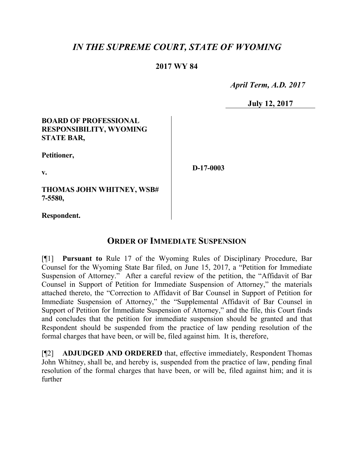# *IN THE SUPREME COURT, STATE OF WYOMING*

### **2017 WY 84**

 *April Term, A.D. 2017*

**July 12, 2017**

#### **BOARD OF PROFESSIONAL RESPONSIBILITY, WYOMING STATE BAR,**

**Petitioner,**

**v.**

**D-17-0003**

**THOMAS JOHN WHITNEY, WSB# 7-5580,**

**Respondent.**

## **ORDER OF IMMEDIATE SUSPENSION**

[¶1] **Pursuant to** Rule 17 of the Wyoming Rules of Disciplinary Procedure, Bar Counsel for the Wyoming State Bar filed, on June 15, 2017, a "Petition for Immediate Suspension of Attorney." After a careful review of the petition, the "Affidavit of Bar Counsel in Support of Petition for Immediate Suspension of Attorney," the materials attached thereto, the "Correction to Affidavit of Bar Counsel in Support of Petition for Immediate Suspension of Attorney," the "Supplemental Affidavit of Bar Counsel in Support of Petition for Immediate Suspension of Attorney," and the file, this Court finds and concludes that the petition for immediate suspension should be granted and that Respondent should be suspended from the practice of law pending resolution of the formal charges that have been, or will be, filed against him. It is, therefore,

[¶2] **ADJUDGED AND ORDERED** that, effective immediately, Respondent Thomas John Whitney, shall be, and hereby is, suspended from the practice of law, pending final resolution of the formal charges that have been, or will be, filed against him; and it is further